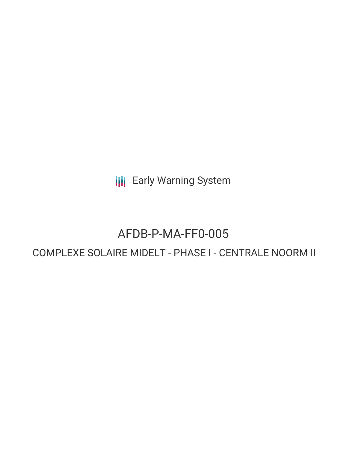**III** Early Warning System

# AFDB-P-MA-FF0-005

# COMPLEXE SOLAIRE MIDELT - PHASE I - CENTRALE NOORM II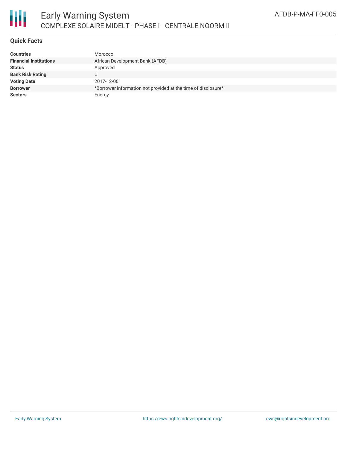

# **Quick Facts**

| <b>Countries</b>              | Morocco                                                       |
|-------------------------------|---------------------------------------------------------------|
| <b>Financial Institutions</b> | African Development Bank (AFDB)                               |
| <b>Status</b>                 | Approved                                                      |
| <b>Bank Risk Rating</b>       |                                                               |
| <b>Voting Date</b>            | 2017-12-06                                                    |
| <b>Borrower</b>               | *Borrower information not provided at the time of disclosure* |
| <b>Sectors</b>                | Energy                                                        |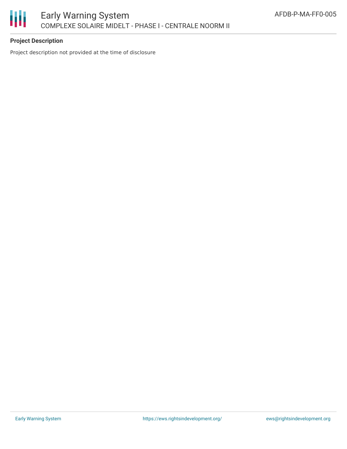

# **Project Description**

Project description not provided at the time of disclosure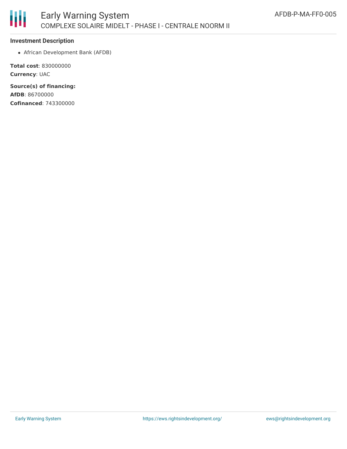

#### **Investment Description**

African Development Bank (AFDB)

**Total cost**: 830000000 **Currency**: UAC

**Source(s) of financing: AfDB**: 86700000 **Cofinanced**: 743300000